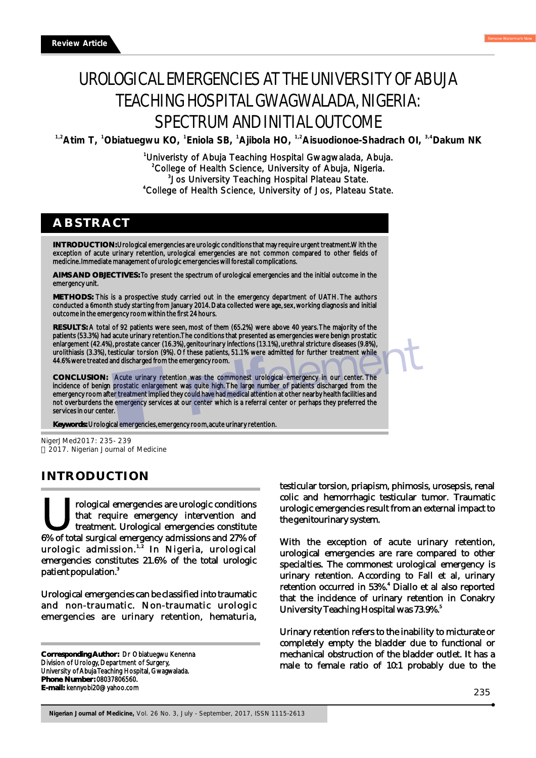# UROLOGICAL EMERGENCIES AT THE UNIVERSITY OF ABUJA TEACHING HOSPITAL GWAGWALADA, NIGERIA: SPECTRUM AND INITIAL OUTCOME

<sup>1,2</sup> Atim T, <sup>1</sup>Obiatuegwu KO, <sup>1</sup> Eniola SB, <sup>1</sup> Ajibola HO, <sup>1,2</sup> Aisuodionoe-Shadrach OI, <sup>3,4</sup> Dakum NK

<sup>1</sup>Univeristy of Abuja Teaching Hospital Gwagwalada, Abuja. <sup>2</sup>College of Health Science, University of Abuja, Nigeria. 3 Jos University Teaching Hospital Plateau State. College of Health Science, University of Jos, Plateau State. <sup>4</sup>

## **ABSTRACT**

**INTRODUCTION:** Urological emergencies are urologic conditions that may require urgent treatment. With the exception of acute urinary retention, urological emergencies are not common compared to other fields of medicine. Immediate management of urologic emergencies will forestall complications.

**AIMS AND OBJECTIVES:** To present the spectrum of urological emergencies and the initial outcome in the emergency unit.

**METHODS:** This is a prospective study carried out in the emergency department of UATH. The authors conducted a 6month study starting from January 2014. Data collected were age, sex, working diagnosis and initial outcome in the emergency room within the first 24 hours.

**RESULTS:** A total of 92 patients were seen, most of them (65.2%) were above 40 years. The majority of the patients (53.3%) had acute urinary retention. The conditions that presented as emergencies were benign prostatic enlargement (42.4%), prostate cancer (16.3%), genitourinary infections (13.1%), urethral stricture diseases (9.8%), urolithiasis (3.3%), testicular torsion (9%). Of these patients, 51.1% were admitted for further treatment while 44.6% were treated and discharged from the emergency room.

**CONCLUSION:** Acute urinary retention was the commonest urological emergency in our center. The incidence of benign prostatic enlargement was quite high. The large number of patients discharged from the emergency room after treatment implied they could have had medical attention at other nearby health facilities and not overburdens the emergency services at our center which is a referral center or perhaps they preferred the services in our center.

**Keywords:** Urological emergencies, emergency room, acute urinary retention.

NigerJMed2017: 235- 239 2017. Nigerian Journal of Medicine

## **INTRODUCTION**

Trological emergencies are urologic conditions<br>that require emergency intervention and<br>treatment. Urological emergencies constitute<br>6% of total surgical emergency admissions and 27% of treatment. Urological emergencies constitute urologic admission.<sup>1,2</sup> In Nigeria, urological emergencies constitutes 21.6% of the total urologic patient population.<sup>3</sup>

Urological emergencies can be classified into traumatic and non-traumatic. Non-traumatic urologic emergencies are urinary retention, hematuria,

**Corresponding Author:** Dr Obiatuegwu Kenenna Division of Urology, Department of Surgery, University of Abuja Teaching Hospital, Gwagwalada. **Phone Number:** 08037806560. **E-mail:** kennyobi20@yahoo.com

testicular torsion, priapism, phimosis, urosepsis, renal colic and hemorrhagic testicular tumor. Traumatic urologic emergencies result from an external impact to the genitourinary system.

With the exception of acute urinary retention, urological emergencies are rare compared to other specialties. The commonest urological emergency is urinary retention. According to Fall et al, urinary retention occurred in 53%.<sup>4</sup> Diallo et al also reported that the incidence of urinary retention in Conakry <sup>5</sup> University Teaching Hospital was 73.9%.

Urinary retention refers to the inability to micturate or completely empty the bladder due to functional or mechanical obstruction of the bladder outlet. It has a male to female ratio of 10:1 probably due to the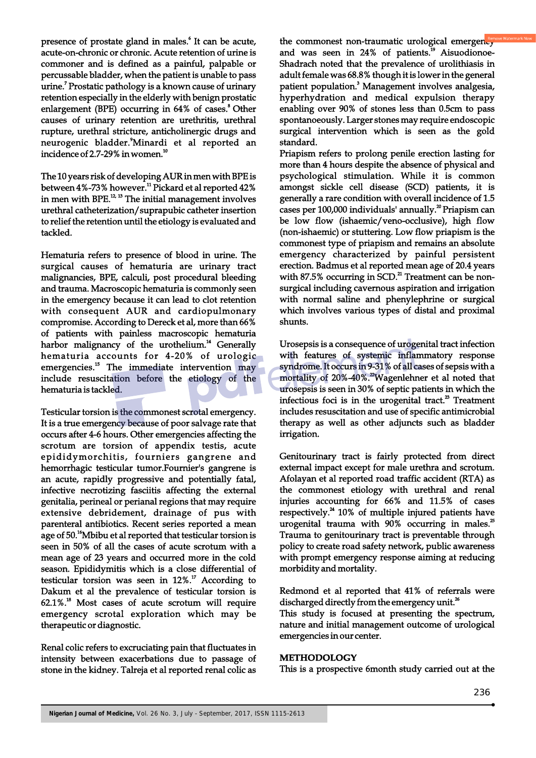presence of prostate gland in males.<sup>6</sup> It can be acute, acute-on-chronic or chronic. Acute retention of urine is commoner and is defined as a painful, palpable or percussable bladder, when the patient is unable to pass urine.<sup>7</sup> Prostatic pathology is a known cause of urinary retention especially in the elderly with benign prostatic enlargement (BPE) occurring in 64% of cases.<sup>8</sup> Other causes of urinary retention are urethritis, urethral rupture, urethral stricture, anticholinergic drugs and neurogenic bladder. $^3$ Minardi et al reported an incidence of 2.7-29% in women. $10$ 

The 10 years risk of developing AUR in men with BPE is between 4%-73% however.<sup>11</sup> Pickard et al reported 42% in men with BPE. $^{12, 13}$  The initial management involves urethral catheterization/suprapubic catheter insertion to relief the retention until the etiology is evaluated and tackled.

Hematuria refers to presence of blood in urine. The surgical causes of hematuria are urinary tract malignancies, BPE, calculi, post procedural bleeding and trauma. Macroscopic hematuria is commonly seen in the emergency because it can lead to clot retention with consequent AUR and cardiopulmonary compromise. According to Dereck et al, more than 66% of patients with painless macroscopic hematuria harbor malignancy of the urothelium.<sup>14</sup> Generally hematuria accounts for 4-20% of urologic emergencies.<sup>15</sup> The immediate intervention may include resuscitation before the etiology of the hematuria is tackled.

Testicular torsion is the commonest scrotal emergency. It is a true emergency because of poor salvage rate that occurs after 4-6 hours. Other emergencies affecting the scrotum are torsion of appendix testis, acute epididymorchitis, fourniers gangrene and hemorrhagic testicular tumor.Fournier's gangrene is an acute, rapidly progressive and potentially fatal, infective necrotizing fasciitis affecting the external genitalia, perineal or perianal regions that may require extensive debridement, drainage of pus with parenteral antibiotics. Recent series reported a mean age of 50.<sup>16</sup>Mbibu et al reported that testicular torsion is seen in 50% of all the cases of acute scrotum with a mean age of 23 years and occurred more in the cold season. Epididymitis which is a close differential of testicular torsion was seen in  $12\%$ .<sup>17</sup> According to Dakum et al the prevalence of testicular torsion is  $62.1\%$ .<sup>18</sup> Most cases of acute scrotum will require emergency scrotal exploration which may be therapeutic or diagnostic.

Renal colic refers to excruciating pain that fluctuates in intensity between exacerbations due to passage of stone in the kidney. Talreja et al reported renal colic as

the commonest non-traumatic urological emergency and was seen in  $24%$  of patients.<sup>19</sup> Aisuodionoe-Shadrach noted that the prevalence of urolithiasis in adult female was 68.8% though it is lower in the general patient population.<sup>3</sup> Management involves analgesia, hyperhydration and medical expulsion therapy enabling over 90% of stones less than 0.5cm to pass spontanoeously. Larger stones may require endoscopic surgical intervention which is seen as the gold standard.

Priapism refers to prolong penile erection lasting for more than 4 hours despite the absence of physical and psychological stimulation. While it is common amongst sickle cell disease (SCD) patients, it is generally a rare condition with overall incidence of 1.5 cases per 100,000 individuals' annually.<sup>20</sup> Priapism can be low flow (ishaemic/veno-occlusive), high flow (non-ishaemic) or stuttering. Low flow priapism is the commonest type of priapism and remains an absolute emergency characterized by painful persistent erection. Badmus et al reported mean age of 20.4 years with 87.5% occurring in SCD.<sup>21</sup> Treatment can be nonsurgical including cavernous aspiration and irrigation with normal saline and phenylephrine or surgical which involves various types of distal and proximal shunts.

Urosepsis is a consequence of urogenital tract infection with features of systemic inflammatory response syndrome. It occurs in 9-31% of all cases of sepsis with a mortality of 20%-40%.<sup>22</sup> Wagenlehner et al noted that urosepsis is seen in 30% of septic patients in which the infectious foci is in the urogenital tract.<sup>23</sup> Treatment includes resuscitation and use of specific antimicrobial therapy as well as other adjuncts such as bladder irrigation.

Genitourinary tract is fairly protected from direct external impact except for male urethra and scrotum. Afolayan et al reported road traffic accident (RTA) as the commonest etiology with urethral and renal injuries accounting for 66% and 11.5% of cases respectively.<sup>24</sup> 10% of multiple injured patients have urogenital trauma with  $90\%$  occurring in males.<sup>25</sup> Trauma to genitourinary tract is preventable through policy to create road safety network, public awareness with prompt emergency response aiming at reducing morbidity and mortality.

Redmond et al reported that 41% of referrals were discharged directly from the emergency unit.<sup>26</sup>

This study is focused at presenting the spectrum, nature and initial management outcome of urological emergencies in our center.

#### **METHODOLOGY**

This is a prospective 6month study carried out at the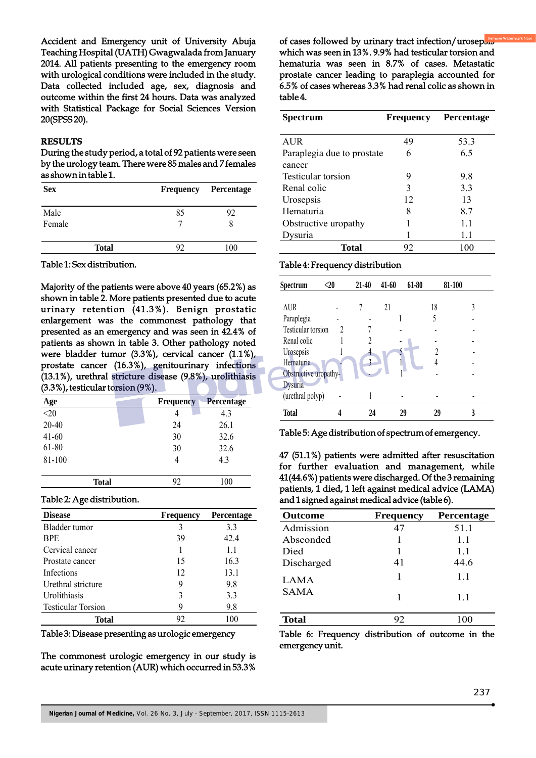Accident and Emergency unit of University Abuja Teaching Hospital (UATH) Gwagwalada from January 2014. All patients presenting to the emergency room with urological conditions were included in the study. Data collected included age, sex, diagnosis and outcome within the first 24 hours. Data was analyzed with Statistical Package for Social Sciences Version 20(SPSS 20).

#### **RESULTS**

During the study period, a total of 92 patients were seen by the urology team. There were 85 males and 7 females as shown in table 1.

| <b>Sex</b>     | <b>Frequency</b> | Percentage |
|----------------|------------------|------------|
| Male<br>Female | 85               | 92         |
| <b>Total</b>   | 92               | 100        |

Table 1: Sex distribution.

Majority of the patients were above 40 years (65.2%) as shown in table 2. More patients presented due to acute urinary retention (41.3%). Benign prostatic enlargement was the commonest pathology that presented as an emergency and was seen in 42.4% of patients as shown in table 3. Other pathology noted were bladder tumor (3.3%), cervical cancer (1.1%), prostate cancer (16.3%), genitourinary infections (13.1%), urethral stricture disease (9.8%), urolithiasis (3.3%), testicular torsion (9%).

| Age       |       | <b>Frequency</b> | <b>Percentage</b> |
|-----------|-------|------------------|-------------------|
| $<$ 20    |       | 4                | 4.3               |
| $20 - 40$ |       | 24               | 26.1              |
| $41 - 60$ |       | 30               | 32.6              |
| 61-80     |       | 30               | 32.6              |
| 81-100    |       | 4                | 4.3               |
|           | Total | 92               | 100               |

#### Table 2: Age distribution.

| <b>Disease</b>            | <b>Frequency</b> | <b>Percentage</b> |
|---------------------------|------------------|-------------------|
| Bladder tumor             | 3                | 3.3               |
| <b>BPE</b>                | 39               | 42.4              |
| Cervical cancer           |                  | 1.1               |
| Prostate cancer           | 15               | 16.3              |
| Infections                | 12               | 13.1              |
| Urethral stricture        | 9                | 9.8               |
| Urolithiasis              | 3                | 3.3               |
| <b>Testicular Torsion</b> | 9                | 9.8               |
| <b>Total</b>              | 92               | 100               |

Table 3: Disease presenting as urologic emergency

The commonest urologic emergency in our study is acute urinary retention (AUR) which occurred in 53.3%

of cases followed by urinary tract infection/urosepbe which was seen in 13%. 9.9% had testicular torsion and hematuria was seen in 8.7% of cases. Metastatic prostate cancer leading to paraplegia accounted for 6.5% of cases whereas 3.3% had renal colic as shown in table 4.

| Spectrum                   | <b>Frequency</b> | Percentage |
|----------------------------|------------------|------------|
|                            |                  |            |
| <b>AUR</b>                 | 49               | 53.3       |
| Paraplegia due to prostate | 6                | 6.5        |
| cancer                     |                  |            |
| Testicular torsion         | 9                | 9.8        |
| Renal colic                | 3                | 3.3        |
| Urosepsis                  | 12               | 13         |
| Hematuria                  | 8                | 8.7        |
| Obstructive uropathy       |                  | 1.1        |
| ∤ysuria                    |                  | 1.1        |
| <b>Total</b>               | 92               | 100        |

#### Table 4: Frequency distribution

| Spectrum              | $<$ 20 | 21-40 | 41-60 | 61-80 | 81-100 |  |
|-----------------------|--------|-------|-------|-------|--------|--|
|                       |        |       |       |       |        |  |
| <b>AUR</b>            |        |       | 21    | 18    |        |  |
| Paraplegia            |        |       |       |       |        |  |
| Testicular torsion    |        |       |       |       |        |  |
| Renal colic           |        |       |       |       |        |  |
| Urosepsis             |        | 4     |       |       |        |  |
| Hematuria             |        | 2     |       |       |        |  |
| Obstructive uropathy- |        |       |       |       |        |  |
| <b>Dysuria</b>        |        |       |       |       |        |  |
| (urethral polyp)      |        |       |       |       |        |  |
| <b>Total</b>          |        | 24    | 29    | 29    |        |  |

Table 5: Age distribution of spectrum of emergency.

47 (51.1%) patients were admitted after resuscitation for further evaluation and management, while 41(44.6%) patients were discharged. Of the 3 remaining patients, 1 died, 1 left against medical advice (LAMA) and 1 signed against medical advice (table 6).

| <b>Outcome</b> | <b>Frequency</b> | <b>Percentage</b> |
|----------------|------------------|-------------------|
| Admission      | 47               | 51.1              |
| Absconded      |                  | 1.1               |
| Died           |                  | 1.1               |
| Discharged     | 41               | 44.6              |
| LAMA           |                  | 1.1               |
| <b>SAMA</b>    |                  | 1.1               |
|                |                  |                   |
| <b>Total</b>   | 92               | 100               |

Table 6: Frequency distribution of outcome in the emergency unit.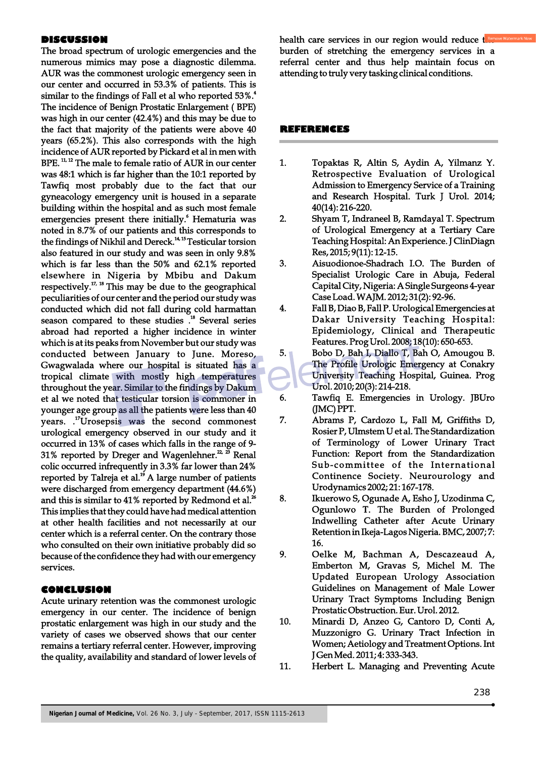#### **DISCUSSION**

The broad spectrum of urologic emergencies and the numerous mimics may pose a diagnostic dilemma. AUR was the commonest urologic emergency seen in our center and occurred in 53.3% of patients. This is 4 similar to the findings of Fall et al who reported 53%. The incidence of Benign Prostatic Enlargement ( BPE) was high in our center (42.4%) and this may be due to the fact that majority of the patients were above 40 years (65.2%). This also corresponds with the high incidence of AUR reported by Pickard et al in men with BPE.<sup>11, 12</sup> The male to female ratio of AUR in our center was 48:1 which is far higher than the 10:1 reported by Tawfiq most probably due to the fact that our gyneacology emergency unit is housed in a separate building within the hospital and as such most female emergencies present there initially.<sup>6</sup> Hematuria was noted in 8.7% of our patients and this corresponds to the findings of Nikhil and Dereck.<sup>14, 15</sup> Testicular torsion also featured in our study and was seen in only 9.8% which is far less than the 50% and 62.1% reported elsewhere in Nigeria by Mbibu and Dakum respectively.<sup> $17, 18$ </sup> This may be due to the geographical peculiarities of our center and the period our study was conducted which did not fall during cold harmattan season compared to these studies .<sup>18</sup> Several series abroad had reported a higher incidence in winter which is at its peaks from November but our study was conducted between January to June. Moreso, Gwagwalada where our hospital is situated has a tropical climate with mostly high temperatures throughout the year. Similar to the findings by Dakum et al we noted that testicular torsion is commoner in younger age group as all the patients were less than 40 years. .<sup>17</sup>Urosepsis was the second commonest urological emergency observed in our study and it occurred in 13% of cases which falls in the range of 9- 31% reported by Dreger and Wagenlehner.<sup>2, 25</sup> Renal colic occurred infrequently in 3.3% far lower than 24% reported by Talreja et al. $19$  A large number of patients were discharged from emergency department (44.6%) and this is similar to 41% reported by Redmond et al.<sup>26</sup> This implies that they could have had medical attention at other health facilities and not necessarily at our center which is a referral center. On the contrary those who consulted on their own initiative probably did so because of the confidence they had with our emergency services.

### **CONCLUSION**

Acute urinary retention was the commonest urologic emergency in our center. The incidence of benign prostatic enlargement was high in our study and the variety of cases we observed shows that our center remains a tertiary referral center. However, improving the quality, availability and standard of lower levels of

health care services in our region would reduce the burden of stretching the emergency services in a referral center and thus help maintain focus on attending to truly very tasking clinical conditions.

#### **REFERENCES**

- 1. Topaktas R, Altin S, Aydin A, Yilmanz Y. Retrospective Evaluation of Urological Admission to Emergency Service of a Training and Research Hospital. Turk J Urol. 2014; 40(14): 216-220.
- 2. Shyam T, Indraneel B, Ramdayal T. Spectrum of Urological Emergency at a Tertiary Care Teaching Hospital: An Experience. J ClinDiagn Res, 2015; 9(11): 12-15.
- 3. Aisuodionoe-Shadrach I.O. The Burden of Specialist Urologic Care in Abuja, Federal Capital City, Nigeria: A Single Surgeons 4-year Case Load. WAJM. 2012; 31(2): 92-96.
- 4. Fall B, Diao B, Fall P. Urological Emergencies at Dakar University Teaching Hospital: Epidemiology, Clinical and Therapeutic Features. Prog Urol. 2008; 18(10): 650-653.
- 5. Bobo D, Bah I, Diallo T, Bah O, Amougou B. The Profile Urologic Emergency at Conakry University Teaching Hospital, Guinea. Prog Urol. 2010; 20(3): 214-218.
- 6. Tawfiq E. Emergencies in Urology. JBUro (JMC) PPT.
- 7. Abrams P, Cardozo L, Fall M, Griffiths D, Rosier P, Ulmstem U et al. The Standardization of Terminology of Lower Urinary Tract Function: Report from the Standardization Sub-committee of the International Continence Society. Neurourology and Urodynamics 2002; 21: 167-178.
- 8. Ikuerowo S, Ogunade A, Esho J, Uzodinma C, Ogunlowo T. The Burden of Prolonged Indwelling Catheter after Acute Urinary Retention in Ikeja-Lagos Nigeria. BMC, 2007; 7: 16.
- 9. Oelke M, Bachman A, Descazeaud A, Emberton M, Gravas S, Michel M. The Updated European Urology Association Guidelines on Management of Male Lower Urinary Tract Symptoms Including Benign Prostatic Obstruction. Eur. Urol. 2012.
- 10. Minardi D, Anzeo G, Cantoro D, Conti A, Muzzonigro G. Urinary Tract Infection in Women; Aetiology and Treatment Options. Int J Gen Med. 2011; 4: 333-343.
- 11. Herbert L. Managing and Preventing Acute